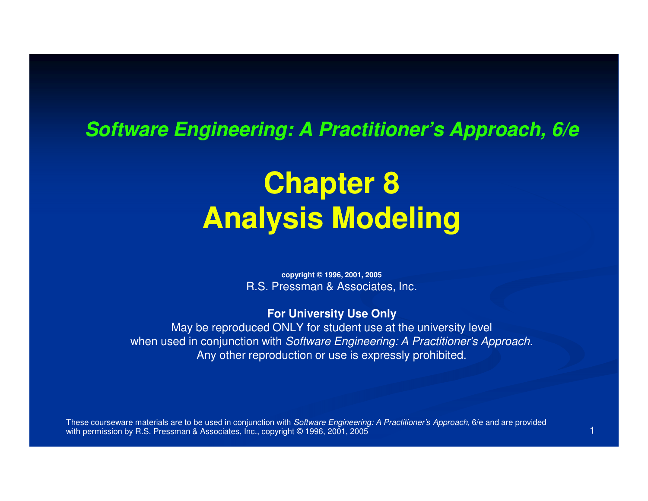#### **Software Engineering: A Practitioner's Approach, 6/e**

# **Chapter 8Analysis Modeling**

**copyright © 1996, 2001, 2005**R.S. Pressman & Associates, Inc.

**For University Use Only**

 May be reproduced ONLY for student use at the university levelwhen used in conjunction with Software Engineering: A Practitioner's Approach. Any other reproduction or use is expressly prohibited.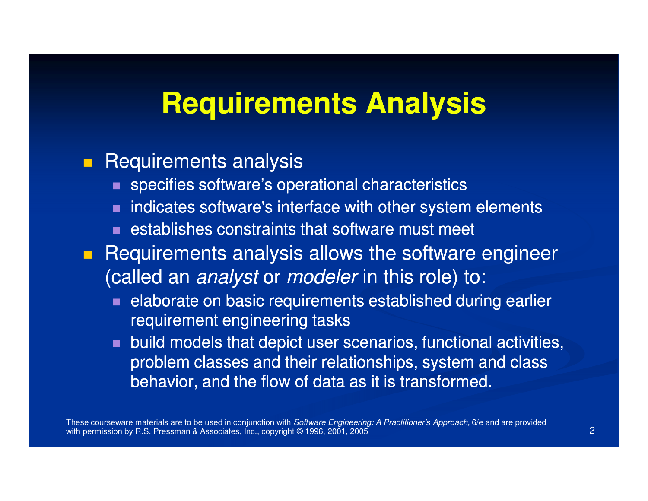## **Requirements Analysis**

#### $\blacksquare$ Requirements analysis

- $\blacksquare$  specifies software's operational characteristics
- **natable 3 indicates software's interface with other system elements**
- $\blacksquare$  establishes constraints that software must meet
- $\blacksquare$  Requirements analysis allows the software engineer (called an *analyst* or *modeler* in this role) to:
	- $\blacksquare$  elaborate on basic requirements established during earlier requirement engineering tasks
	- **Duild models that depict user scenarios, functional activities,** problem classes and their relationships, system and class behavior, and the flow of data as it is transformed.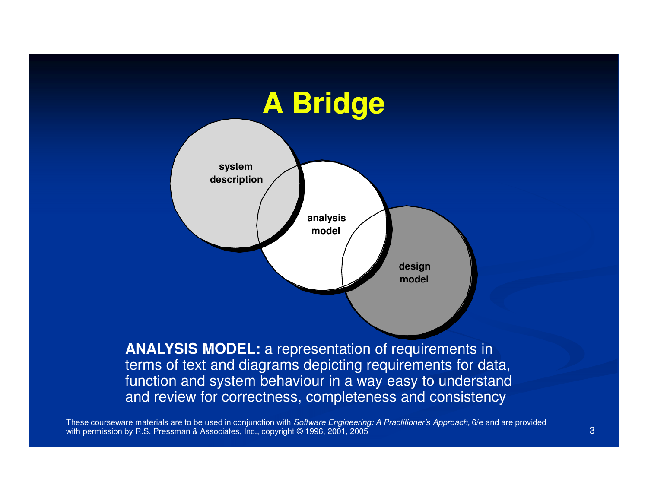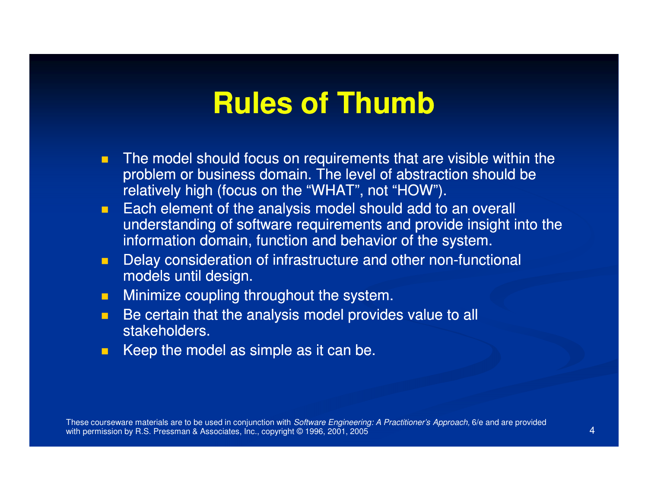# **Rules of Thumb**

- $\blacksquare$  The model should focus on requirements that are visible within the problem or business domain. The level of abstraction should be relatively high (focus on the "WHAT", not "HOW").
- m. Each element of the analysis model should add to an overall understanding of software requirements and provide insight into the information domain, function and behavior of the system.
- $\blacksquare$ Delay consideration of infrastructure and other non-functional models until design.
- $\blacksquare$ Minimize coupling throughout the system.
- $\blacksquare$  Be certain that the analysis model provides value to all stakeholders.
- $\blacksquare$ Keep the model as simple as it can be.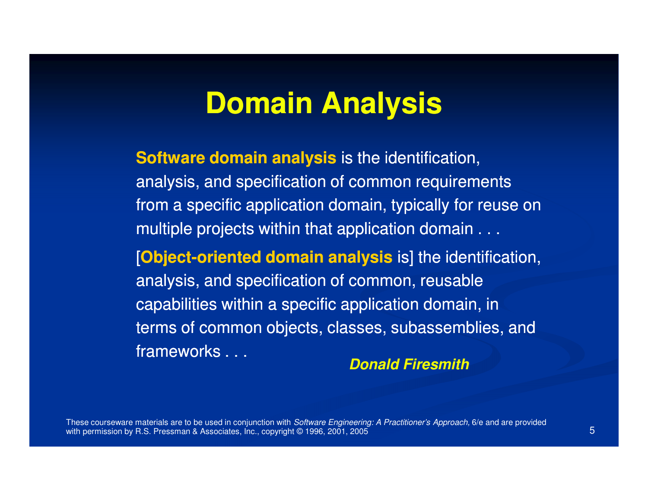### **Domain Analysis**

**Software domain analysis** is the identification, analysis, and specification of common requirements from a specific application domain, typically for reuse on multiple projects within that application domain . . .

[**Object-oriented domain analysis** is] the identification, analysis, and specification of common, reusable capabilities within a specific application domain, in terms of common objects, classes, subassemblies, and frameworks . . .

**Donald Firesmith**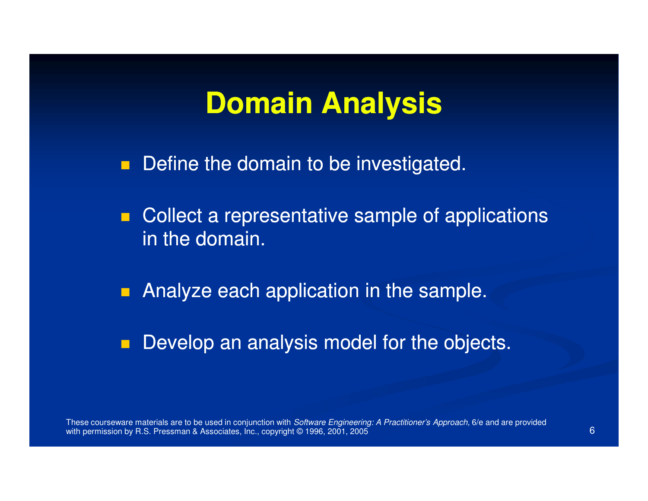### **Domain Analysis**

**Define the domain to be investigated.** 

 $\blacksquare$  Collect a representative sample of applications in the domain.

 $\blacksquare$ Analyze each application in the sample.

 $\blacksquare$ Develop an analysis model for the objects.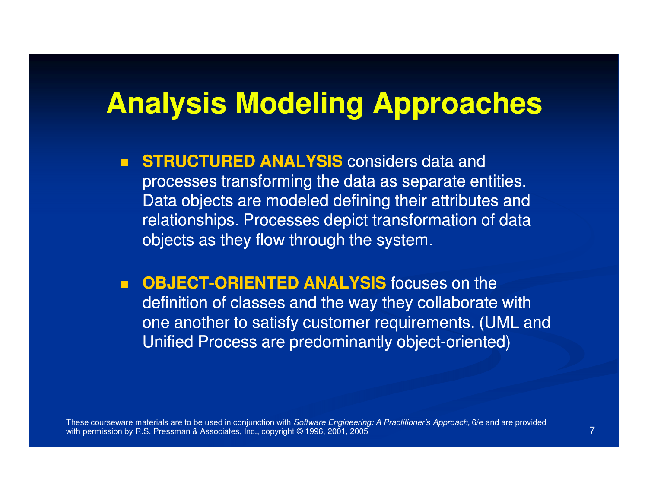## **Analysis Modeling Approaches**

- $\blacksquare$ **STRUCTURED ANALYSIS** considers data and processes transforming the data as separate entities. Data objects are modeled defining their attributes and relationships. Processes depict transformation of data objects as they flow through the system.
- $\blacksquare$ **DBJECT-ORIENTED ANALYSIS** focuses on the definition of classes and the way they collaborate with one another to satisfy customer requirements. (UML and Unified Process are predominantly object-oriented)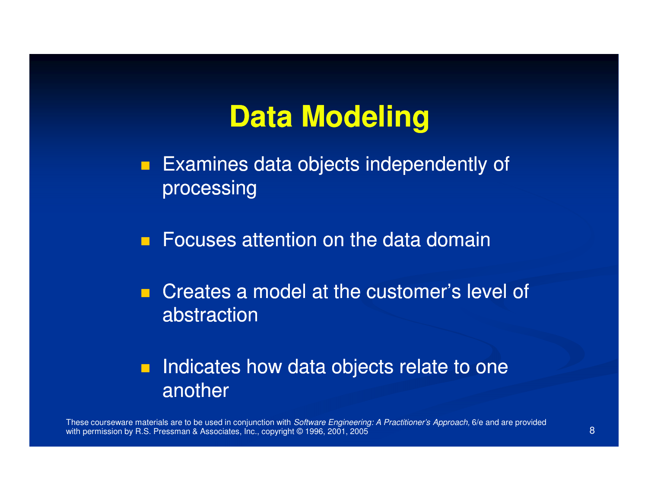# **Data Modeling**

 $\blacksquare$  Examines data objects independently of processing

**C** Focuses attention on the data domain

**Creates a model at the customer's level of** abstraction

#### Ξ Indicates how data objects relate to one another

These courseware materials are to be used in conjunction with *Software Engineering: A Practitioner's Approach,* 6/e and are provided with permission by R.S. Pressman & Associates, Inc., copyright © 1996, 2001, 20055 and 2014 and 2014 and 2014 and 2014 and 2014 and 2014 and 2014 and 2014 and 2014 and 2014 and 2014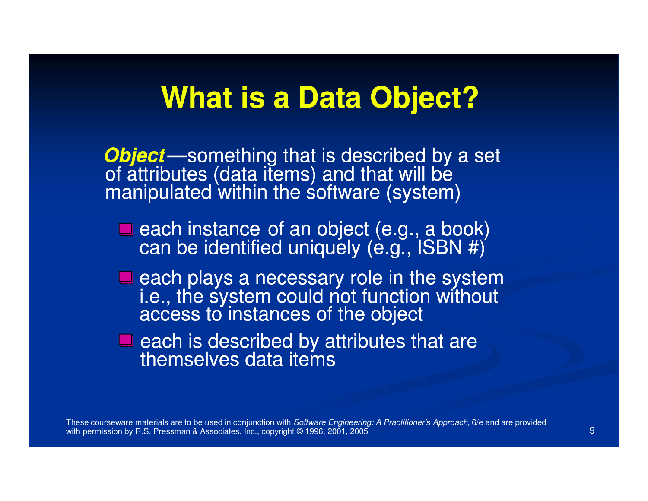#### **What is a Data Object?**

**Object**—something that is described by a set<br>of attributes (data items) and that will be<br>manipulated within the software (system)

 $\blacksquare$  each instance of an object (e.g., a book) can be identified uniquely (e.g.,  $ISBN #)$ 

each plays a necessary role in the systemi.e., the system could not function without<br>access to instances of the object

 $\blacksquare$  each is described by attributes that are themselves data items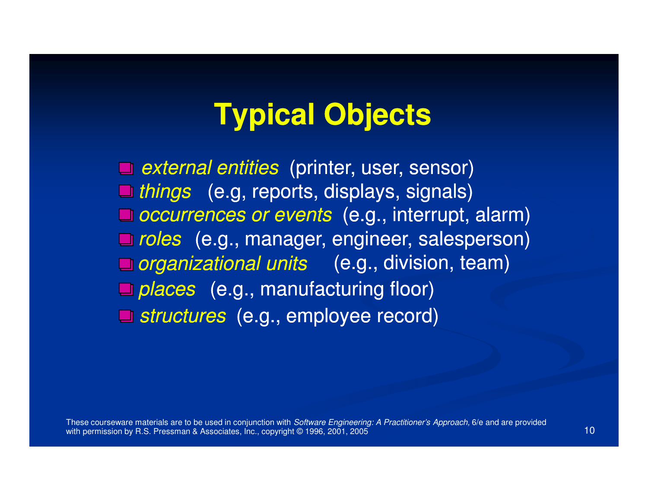# **Typical Objects**

*external entities* (printer, user, sensor) *things* (e.g, reports, displays, signals) *occurrences or events* (e.g., interrupt, alarm) *roles* (e.g., manager, engineer, salesperson) *organizational units* (e.g., division, team) places (e.g., manufacturing floor) *structures* (e.g., employee record)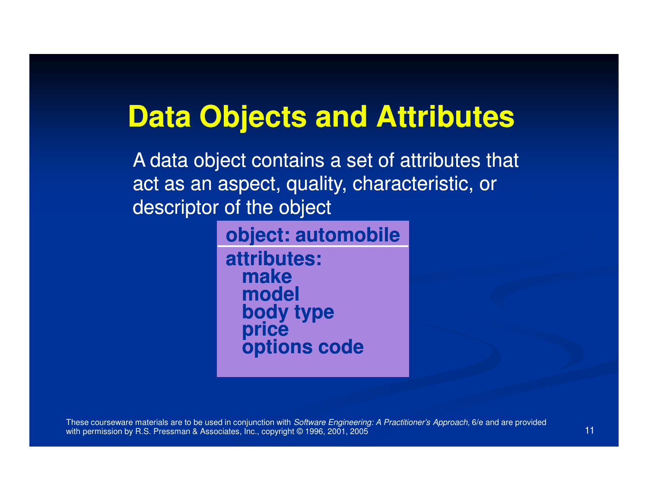# **Data Objects and Attributes**

A data object contains a set of attributes that act as an aspect, quality, characteristic, or descriptor of the object

**object: automobile**

**attributes:make model body type priceoptions code**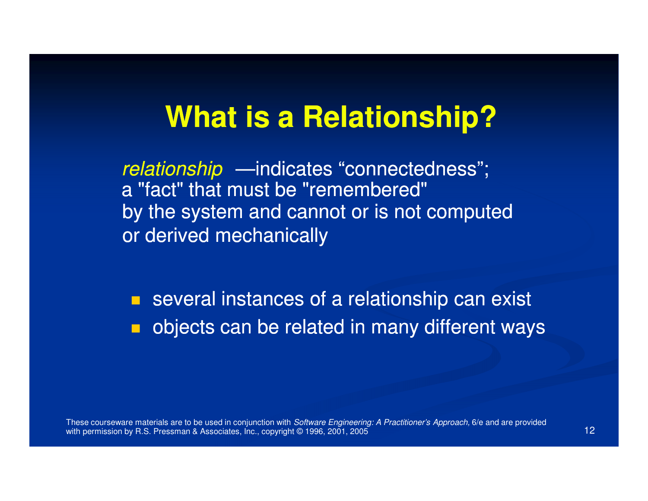## **What is a Relationship?**

relationship —indicates "connectedness"; a "fact" that must be "remembered" by the system and cannot or is not computed or derived mechanically

**E** several instances of a relationship can exist objects can be related in many different ways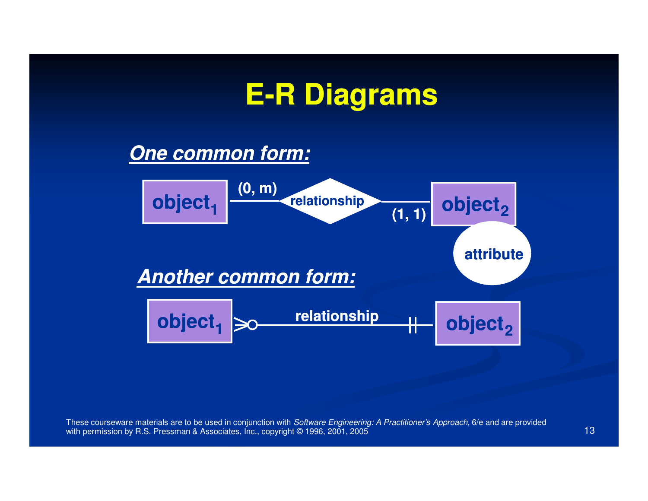# **E-R Diagrams <sup>R</sup>**

#### **One common form:**

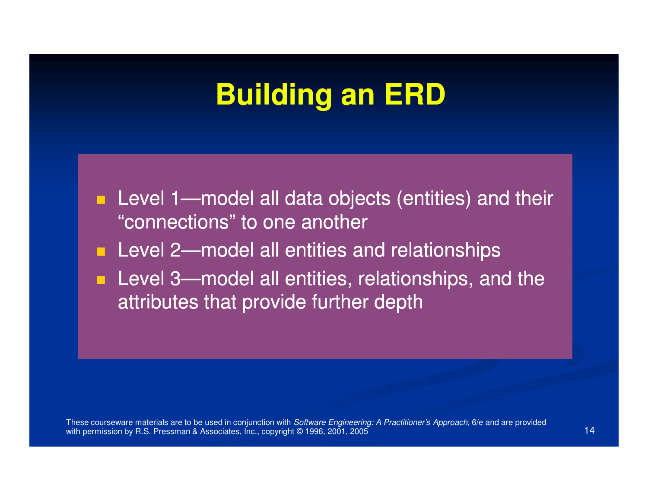# **Building an ERD**

- **Level 1—model all data objects (entities) and their**  $\frac{m}{n}$ "connections" to one another
- Level 2—model all entities and relationships
- **Level 3—model all entities, relationships, and the** attributes that provide further depth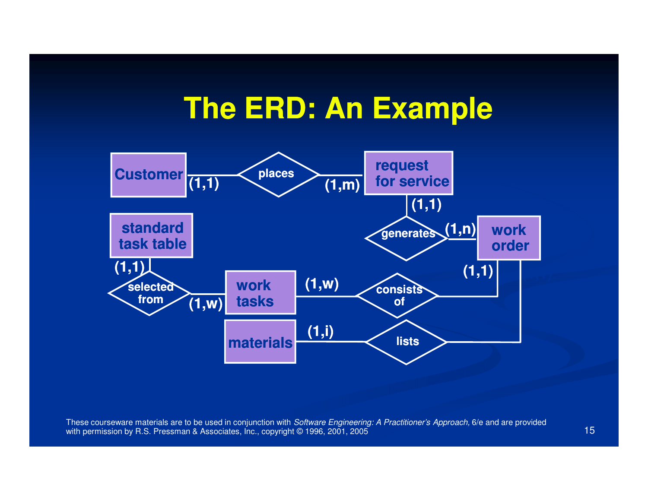#### **The ERD: An Example**

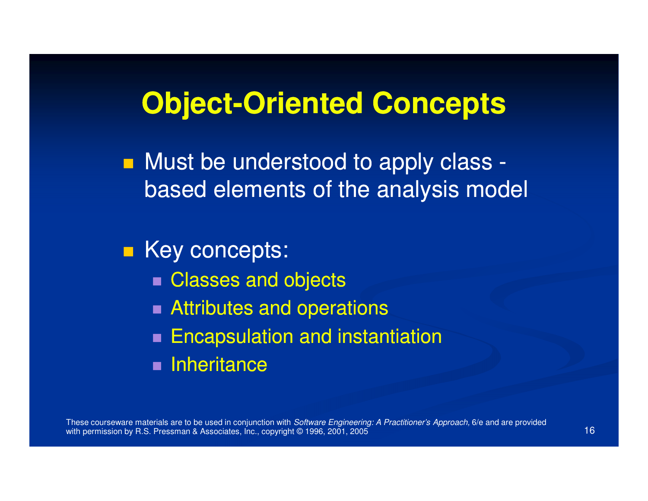# **Object-Oriented Concepts Oriented**

■ Must be understood to apply class based elements of the analysis model

■ Key concepts:

- Classes and objects
- Attributes and operations
- $\blacksquare$  Encapsulation and instantiation
- **E** Inheritance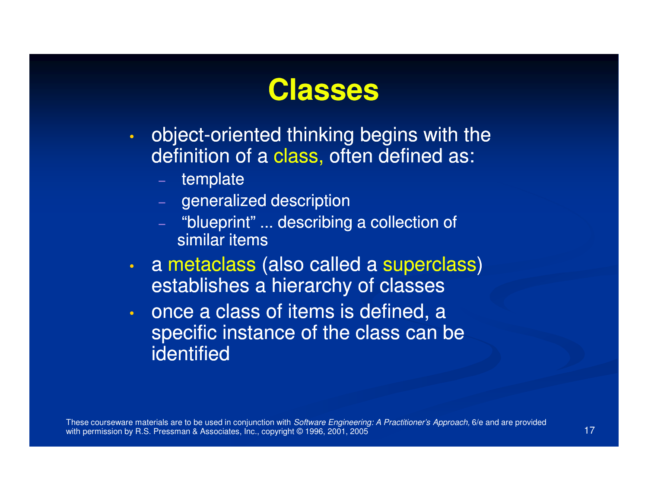

- •object-oriented thinking begins with the definition of a class, often defined as:
	- $-$  template
	- $\hspace{0.1cm}$  generalized description
	- "blueprint" ... describing a collection of similar items
- $\mathbf{C}$  a metaclass (also called a superclass) establishes a hierarchy of classes
- $\cdot$  once a class of items is defined, a  $\bullet$  specific instance of the class can be **identified**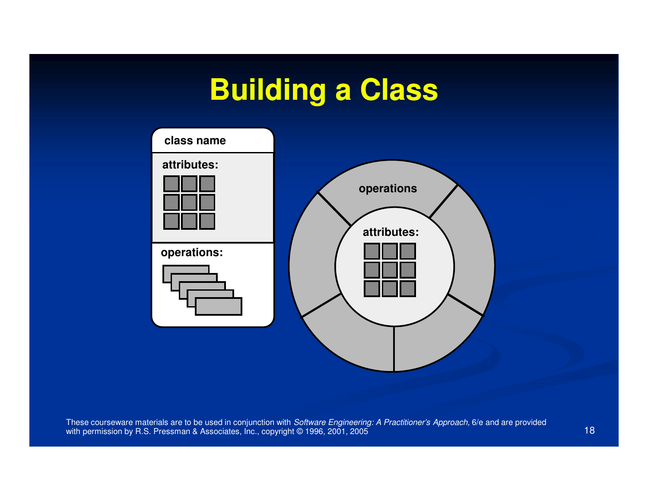# **Building a Class**

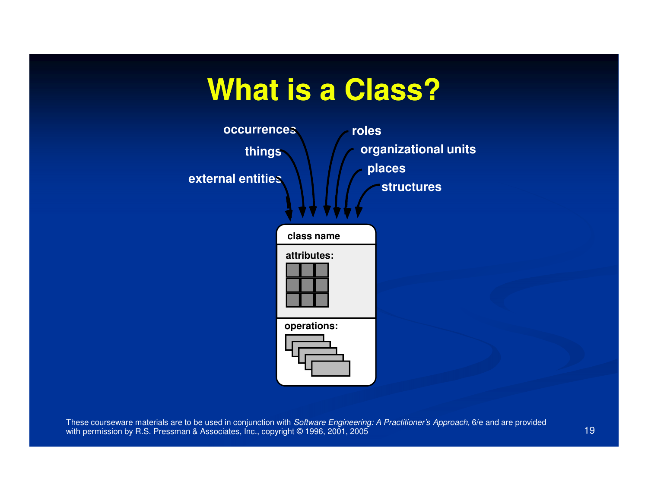# **What is a Class?**

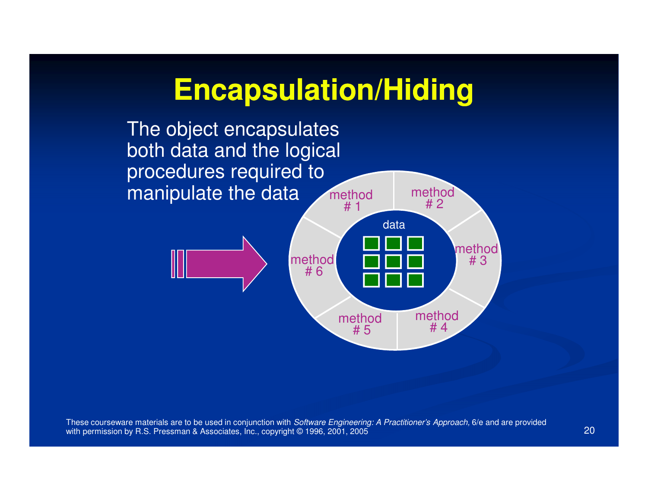### **Encapsulation/Hiding**

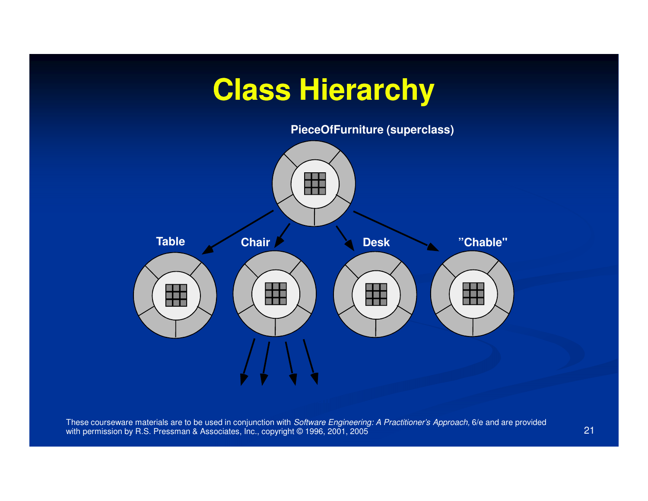# **Class Hierarchy**

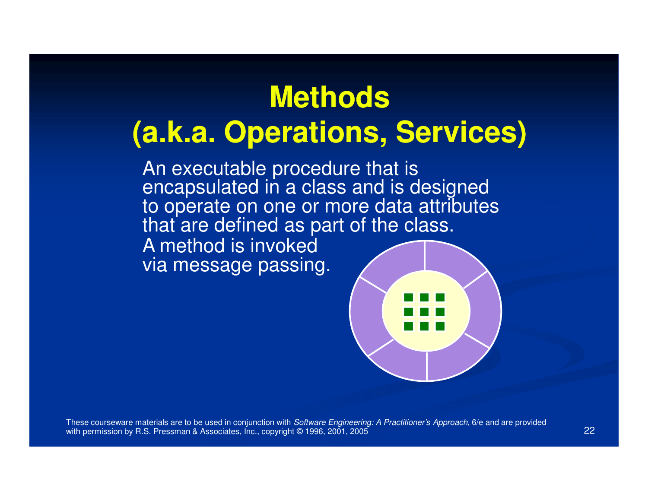# **Methods(a.k.a. Operations, Services)**

An executable procedure that is encapsulated in a class and is designed to operate on one or more data attributes that are defined as part of the class.

A method is invoked via message passing.

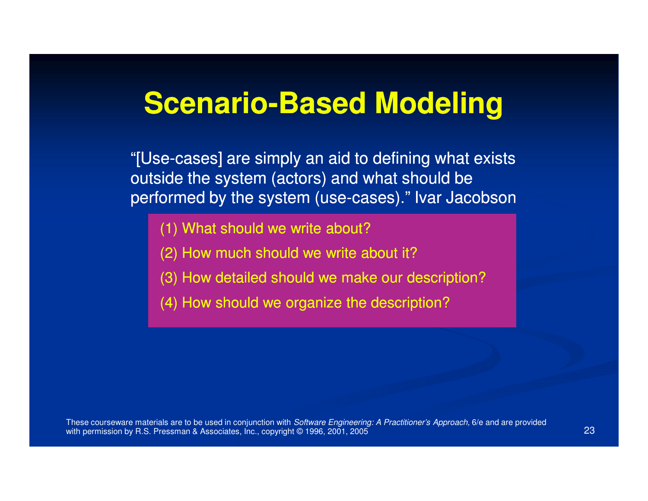# **Scenario-Based Modeling**

"[Use-cases] are simply an aid to defining what exists outside the system (actors) and what should be performed by the system (use-cases)." <mark>I</mark>var Jacobson

- (1) What should we write about?
- (2) How much should we write about it?
- (3) How detailed should we make our description?
- (4) How should we organize the description?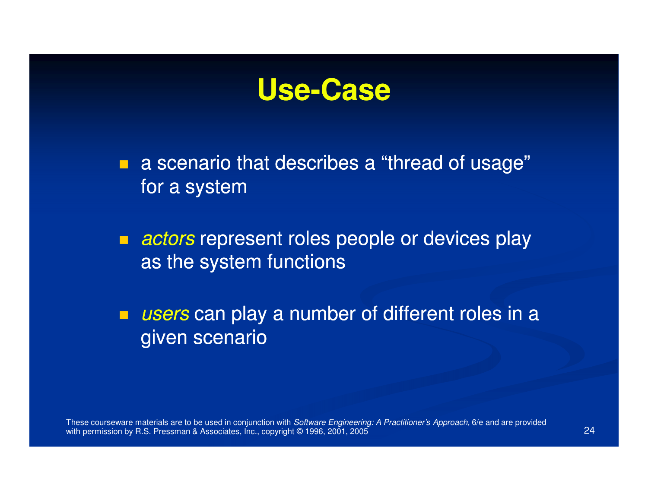

 $\Box$  a scenario that describes a "thread of usage" for a system

 $\blacksquare$  actors represent roles people or devices play as the system functions

 $\blacksquare$ users can play a number of different roles in a given scenario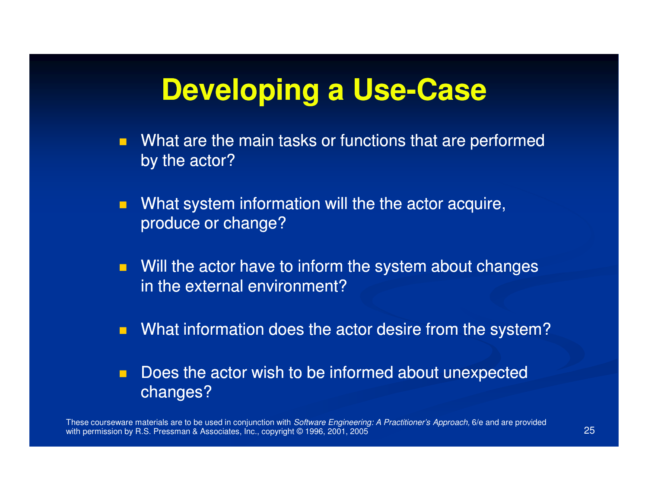# **Developing a Use Use-Case**

- $\blacksquare$  What are the main tasks or functions that are performed by the actor?
- $\blacksquare$  What system information will the the actor acquire, produce or change?
- $\blacksquare$  Will the actor have to inform the system about changes in the external environment?
- $\blacksquare$ What information does the actor desire from the system?
- $\blacksquare$  Does the actor wish to be informed about unexpectedchanges?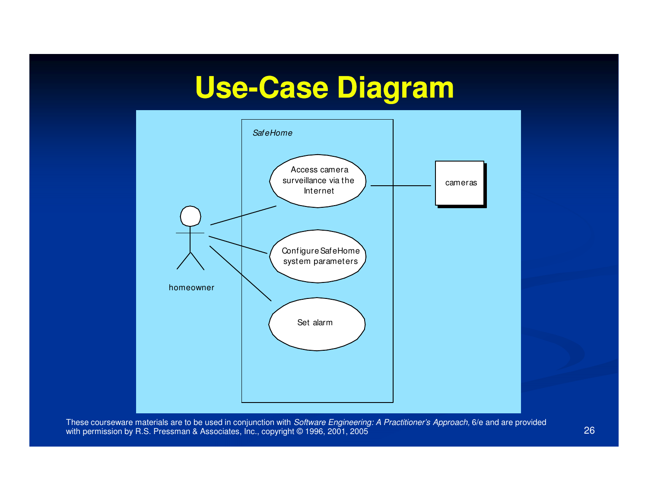# **Use-Case Diagram Case**

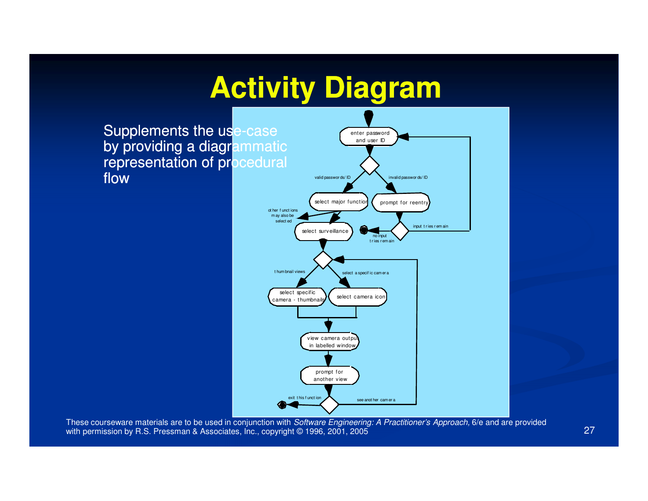# **Activity Diagram**

Supplements the us<mark>e-case</mark> by providing a diagrammatic representation of procedural flow

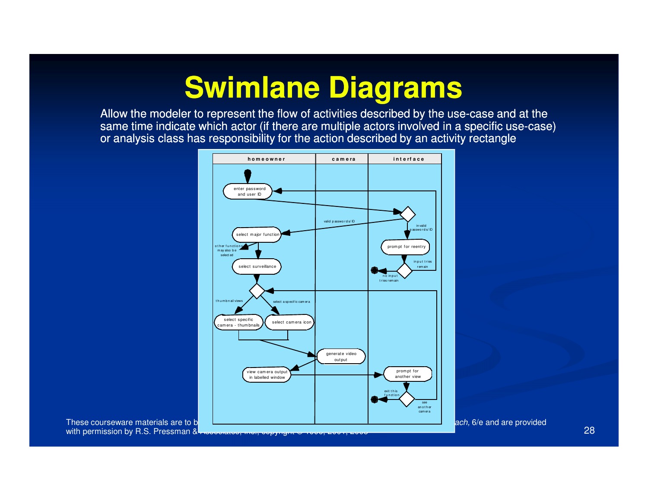# **Swimlane Diagrams**

Allow the modeler to represent the flow of activities described by the use-case and at the same time indicate which actor (if there are multiple actors involved in a specific use-case) or analysis class has responsibility for the action described by an activity rectangle



ach, 6/e and are provided

These courseware materials are to be with permission by R.S. Pressman & Associated, Inc.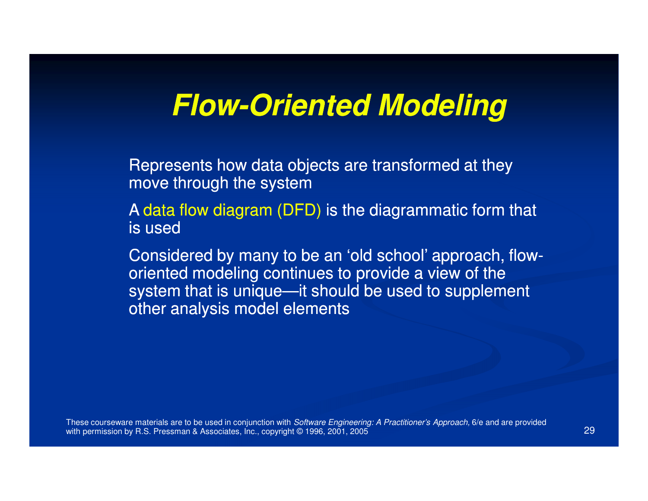# **Flow-Oriented Modeling Oriented**

Represents how data objects are transformed at theymove through the system

 A data flow diagram (DFD) is the diagrammatic form that is used

Considered by many to be an 'old school' approach, floworiented modeling continues to provide a view of the system that is unique—it should be used to supplement other analysis model elements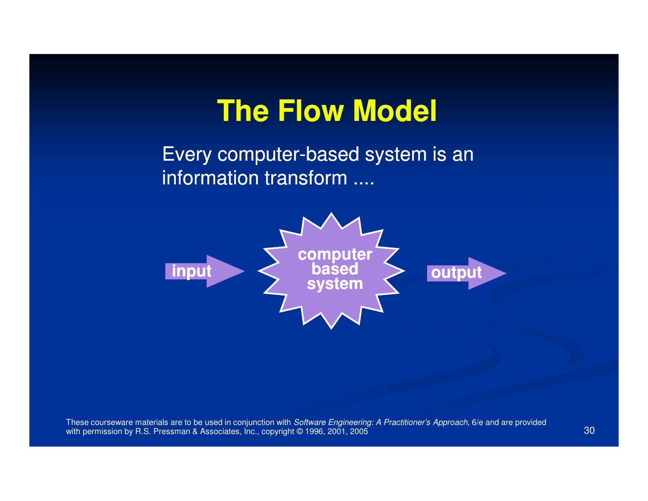# **The Flow Model**

Every computer-based system is an information transform ....

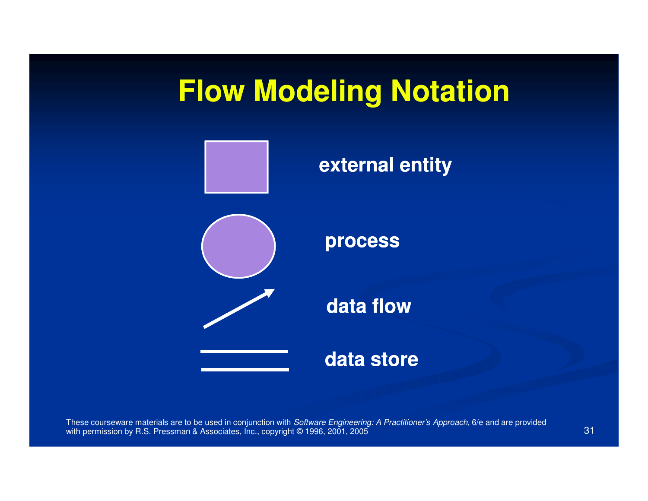# **Flow Modeling Notation**

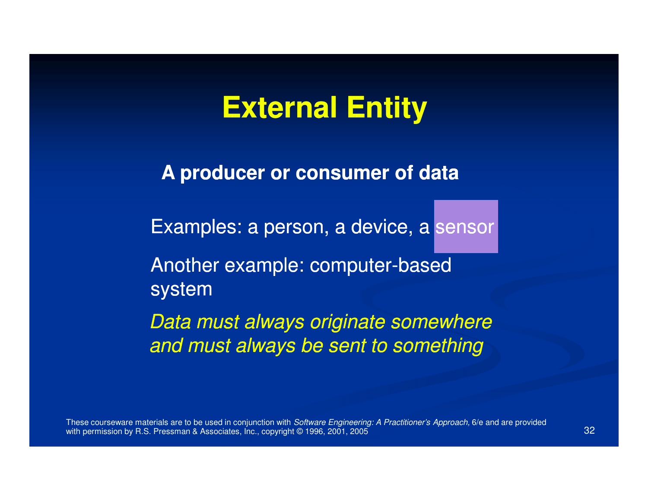# **External Entity**

**A producer or consumer of data**

Examples: a person, a device, a sensor

Another example: computer-based system

Data must always originate somewhereand must always be sent to something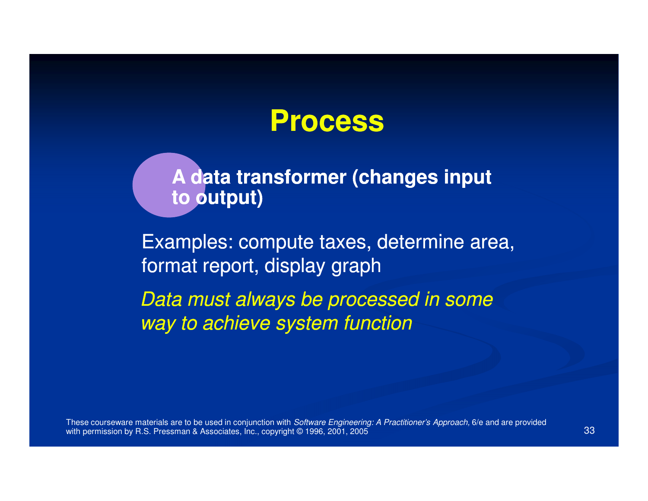

**A data transformer (changes inputto output)**

Examples: compute taxes, determine area,format report, display graph

Data must always be processed in some way to achieve system function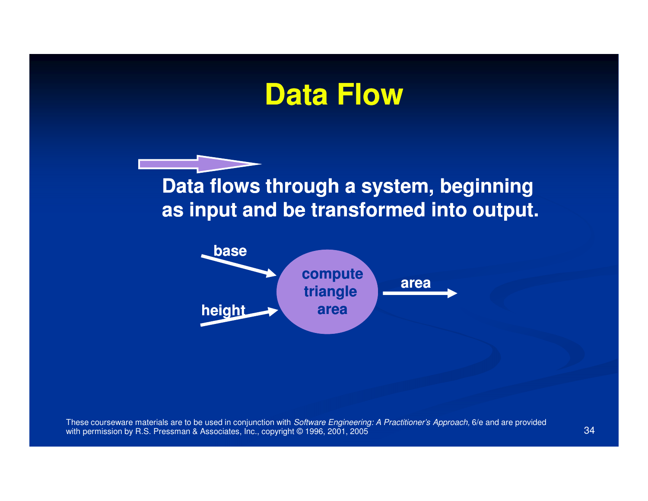### **Data Flow**

**Data flows through a system, beginningas input and be transformed into output.**

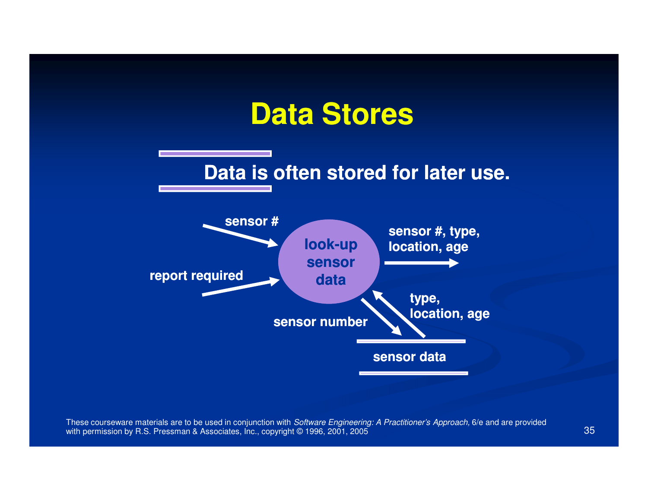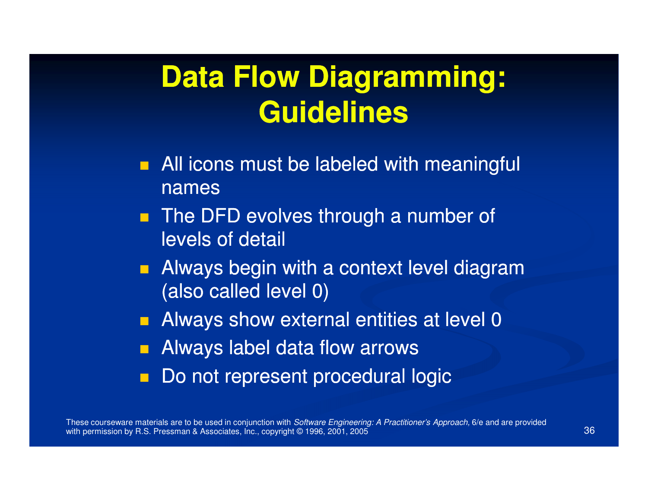# **Data Flow Diagramming:Guidelines**

- **All icons must be labeled with meaningful** names
- $\blacksquare$  The DFD evolves through a number of levels of detail
- **Always begin with a context level diagram** (also called level 0)
- **Always show external entities at level 0**
- **Redukta Always label data flow arrows**
- Do not represent procedural logic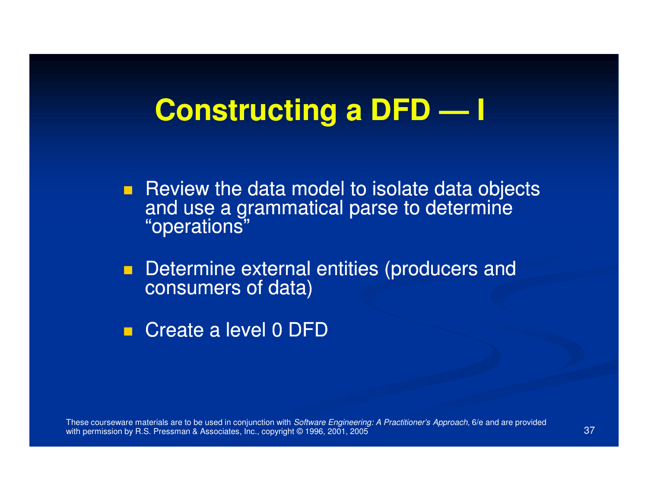# **Constructing a DFD — I**

Review the data model to isolate data objects and use a grammatical parse to determine "operations"

 $\blacksquare$ Determine external entities (producers and consumers of data)

■ Create a level 0 DFD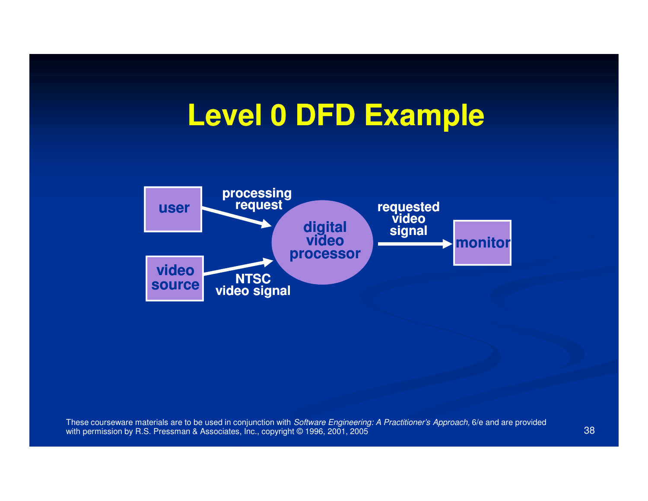# **Level 0 DFD Example**

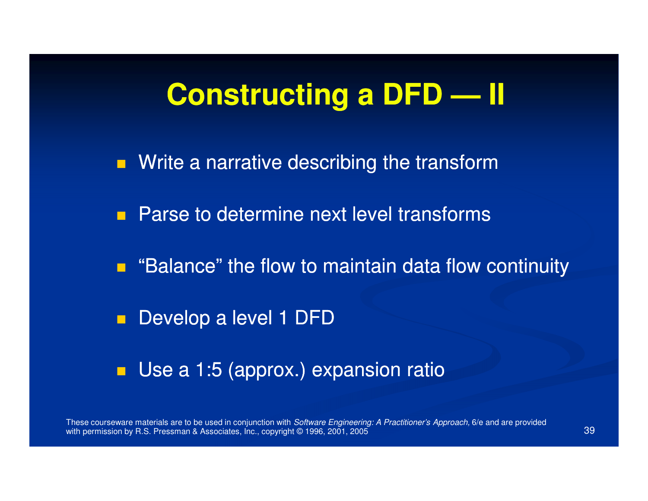#### **Constructing a DFD — II**

**N**rite a narrative describing the transform **Parse to determine next level transforms** 

**E** "Balance" the flow to maintain data flow continuity

 $\blacksquare$ Develop a level 1 DFD

■ Use a 1:5 (approx.) expansion ratio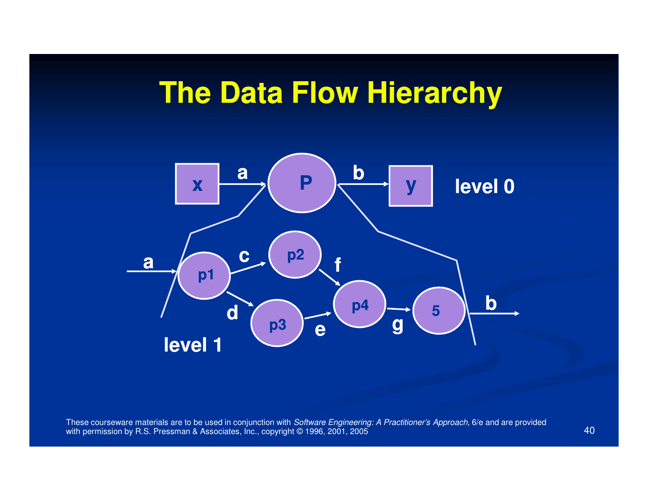# **The Data Flow Hierarchy**

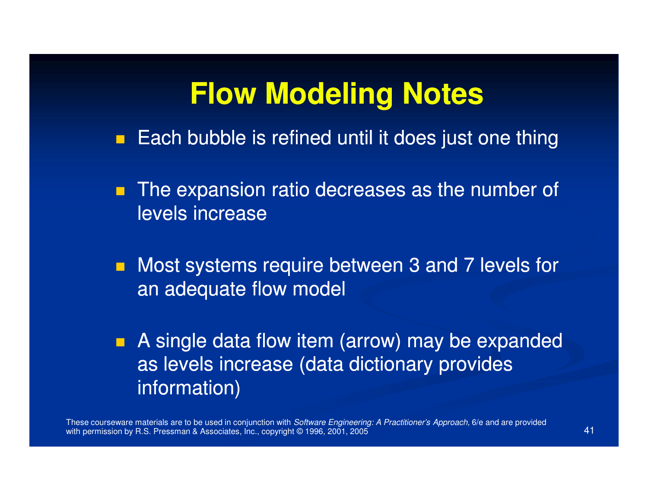#### **Flow Modeling Notes**

- Each bubble is refined until it does just one thing
- **The expansion ratio decreases as the number of** levels increase
- **Nost systems require between 3 and 7 levels for** an adequate flow model
- **A** single data flow item (arrow) may be expanded as levels increase (data dictionary provides information)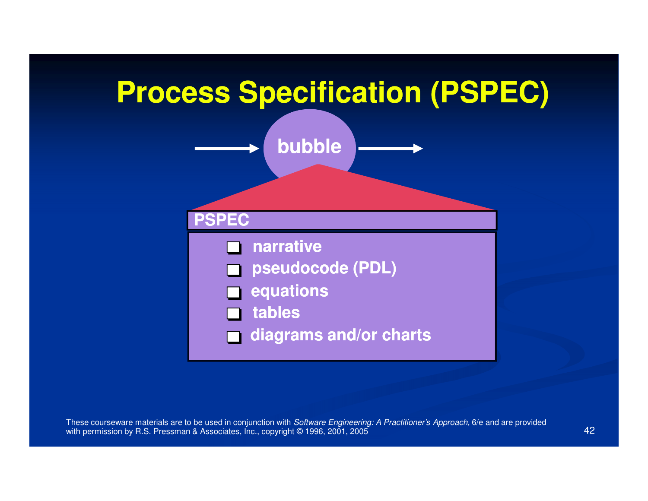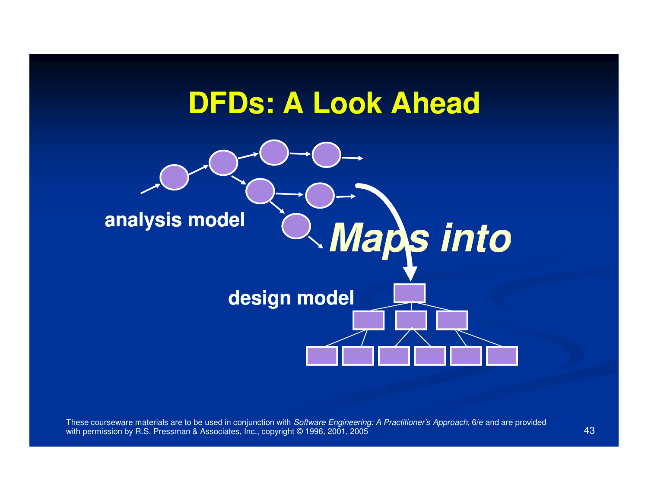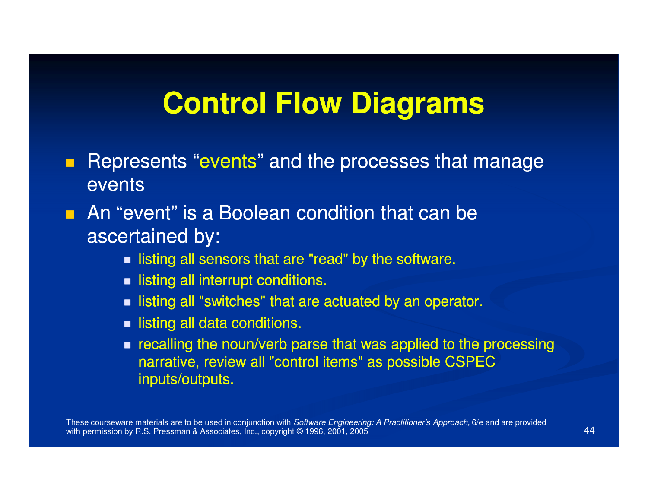### **Control Flow Diagrams**

- $\blacksquare$  Represents "events" and the processes that manage events
- **An "event" is a Boolean condition that can be** ascertained by:
	- $\blacksquare$  listing all sensors that are "read" by the software.
	- $\blacksquare$  listing all interrupt conditions.
	- $\blacksquare$  listing all "switches" that are actuated by an operator.
	- $\blacksquare$  listing all data conditions.
	- $\blacksquare$  recalling the noun/verb parse that was applied to the processing narrative, review all "control items" as possible CSPEC inputs/outputs.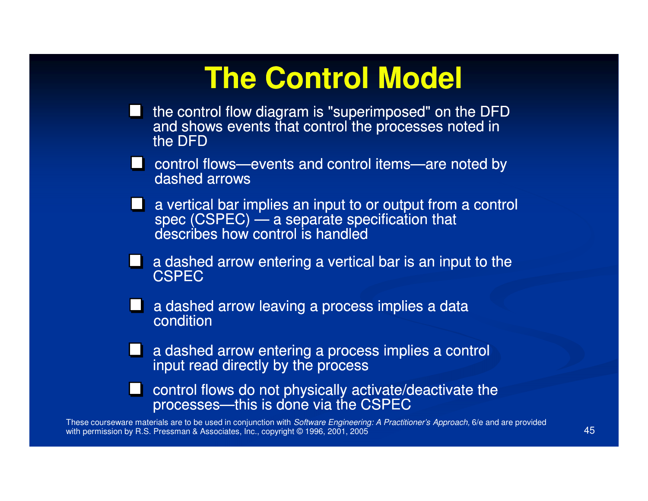# **The Control Model**

- the control flow diagram is "superimposed" on the DFD and shows events that control the processes noted in the DFD
- control flows—events and control items—are noted by dashed arrows
- **a** a vertical bar implies an input to or output from a control spec (CSPEC) — a separate specification that describes how control is handled
- $\blacksquare$  a dashed arrow entering a vertical bar is an input to the **CSPEC**
- **A** a dashed arrow leaving a process implies a data condition
- **a** a dashed arrow entering a process implies a control input read directly by the process
- control flows do not physically activate/deactivate the processes—this is done via the CSPEC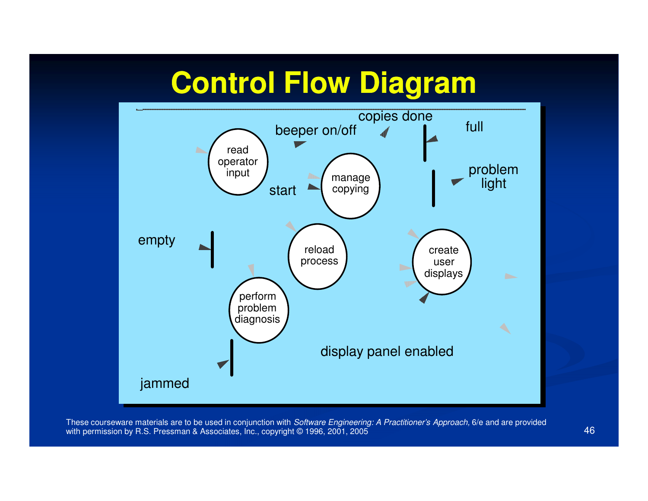# **Control Flow Diagram**

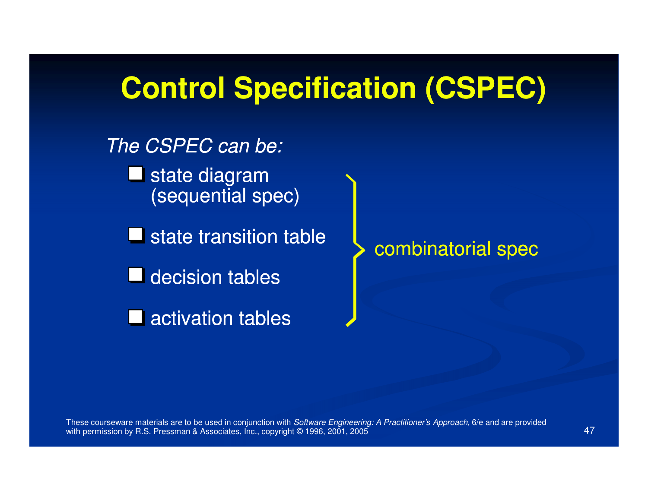#### **Control Specification (CSPEC)**

The CSPEC can be:**L** state diagram (sequential spec) $\blacksquare$  state transition table **decision tables** ■ activation tables

combinatorial spec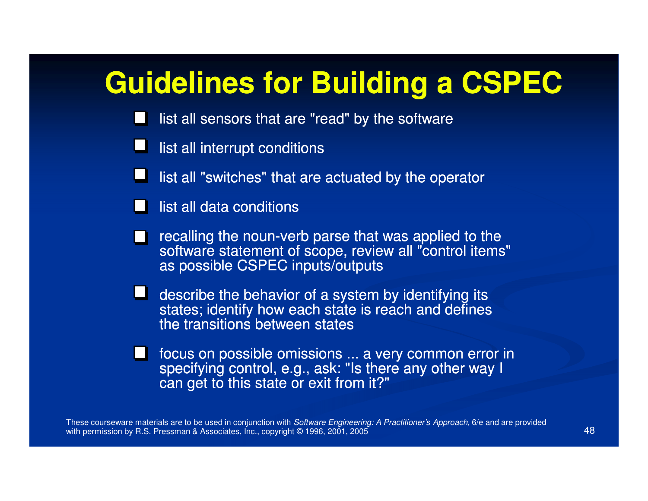# **Guidelines for Building a CSPEC**

- list all sensors that are "read" by the software
- list all interrupt conditions
- list all "switches" that are actuated by the operator
- list all data conditions
- recalling the noun-verb parse that was applied to the<br>estimate statement of assess review all "sentral items software statement of scope, review all "control items" as possible CSPEC inputs/outputs
- $\blacksquare$  describe the behavior of a system by identifying its states; identify how each state is reach and defines the transitions between states
- focus on possible omissions ... a very common error in specifying control, e.g., ask: "Is there any other way I can get to this state or exit from it?"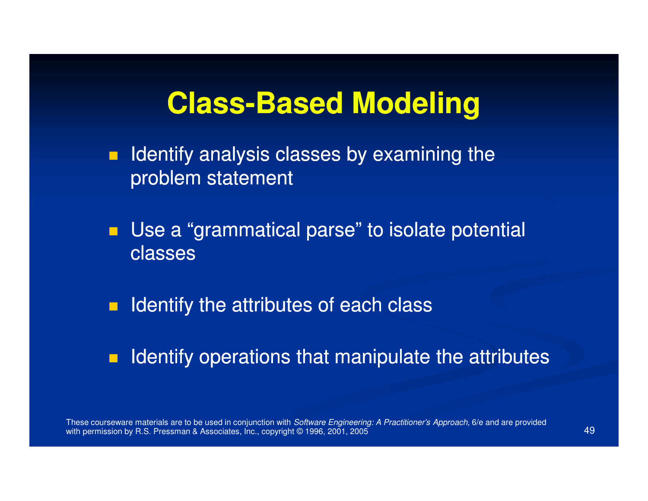# **Class-Based Modeling Based**

- $\blacksquare$ Identify analysis classes by examining the problem statement
- **Use a "grammatical parse" to isolate potential** classes
- $\blacksquare$ Identify the attributes of each class
- $\blacksquare$ Identify operations that manipulate the attributes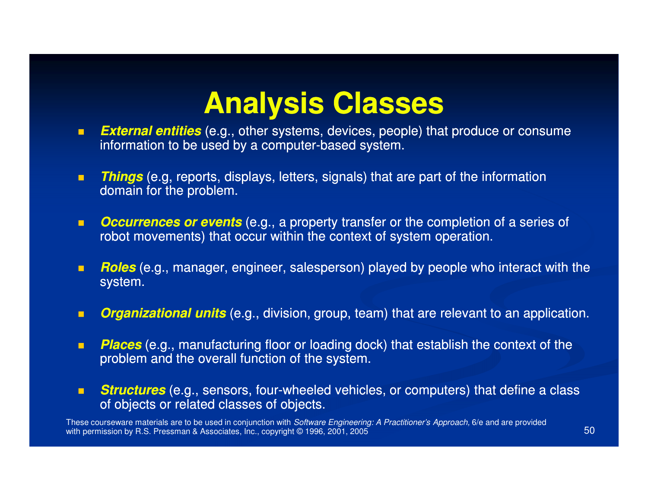# **Analysis Classes**

- *External entities* (e.g., other systems, devices, people) that produce or consume  $\blacksquare$ information to be used by a computer-based system.
- $\blacksquare$ **Things** (e.g, reports, displays, letters, signals) that are part of the information domain for the problem.
- П **CCULTENCES OF EVENTS** (e.g., a property transfer or the completion of a series of robot movements) that occur within the context of system operation.
- $\blacksquare$ **■** *Roles* (e.g., manager, engineer, salesperson) played by people who interact with the system.
- $\blacksquare$ **Organizational units** (e.g., division, group, team) that are relevant to an application.
- п **Places** (e.g., manufacturing floor or loading dock) that establish the context of the problem and the overall function of the system.
- $\blacksquare$ **Structures** (e.g., sensors, four-wheeled vehicles, or computers) that define a class s of objects or related classes of objects.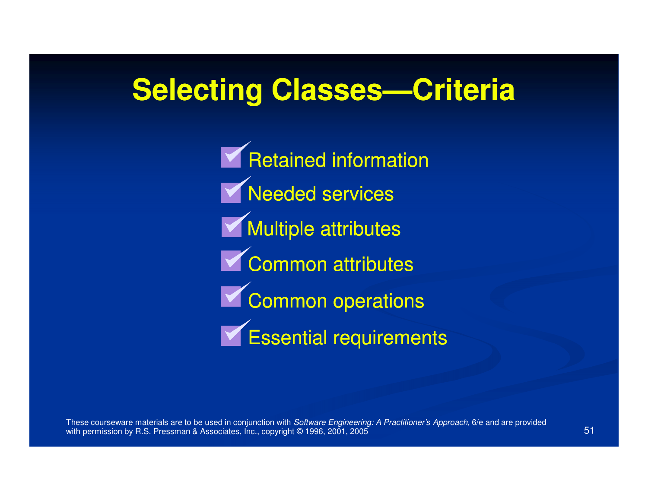# **Selecting Classes Classes—Criteria Criteria**

**Needed services Multiple attributes** Retained information Common attributes Common operations Essential requirements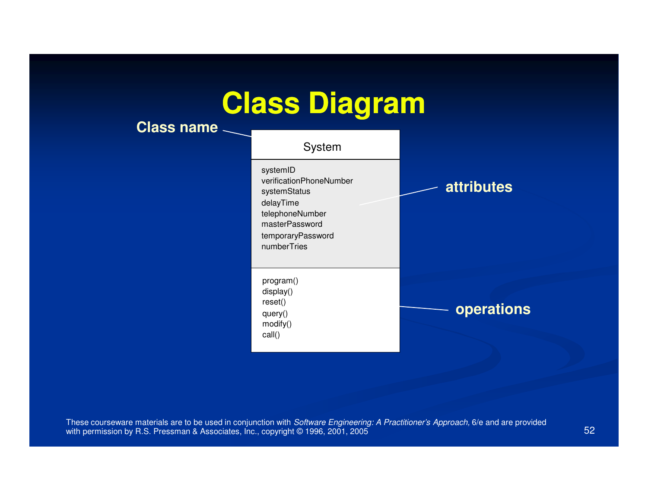# **Class Diagram**

**Class name**

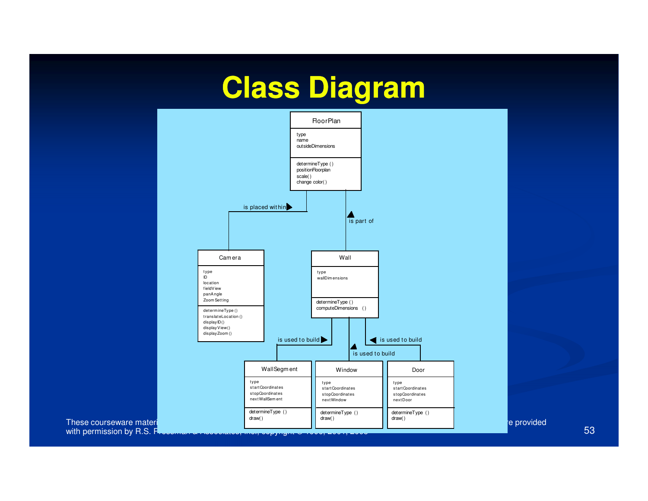# **Class Diagram**

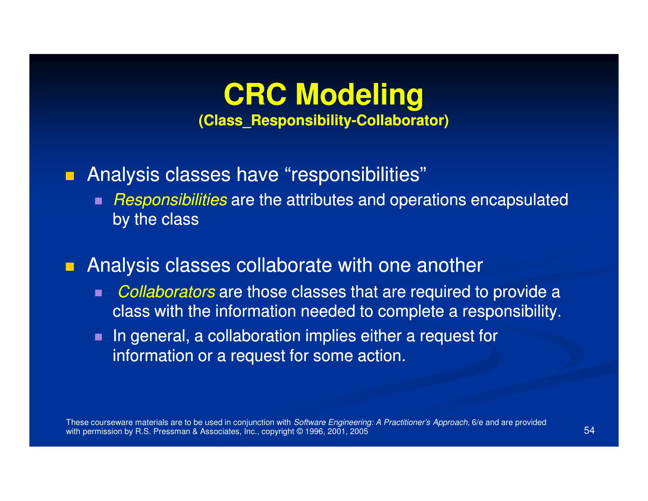#### **CRC Modeling(Class\_Responsibility (Class\_Responsibility-Collaborator) Collaborator)**

#### Analysis classes have "responsibilities"

 $\blacksquare$  Responsibilities are the attributes and operations encapsulated by the class

#### $\blacksquare$ Analysis classes collaborate with one another

- п Collaborators are those classes that are required to provide a class with the information needed to complete a responsibility.
- $\blacksquare$  In general, a collaboration implies either a request for information or a request for some action.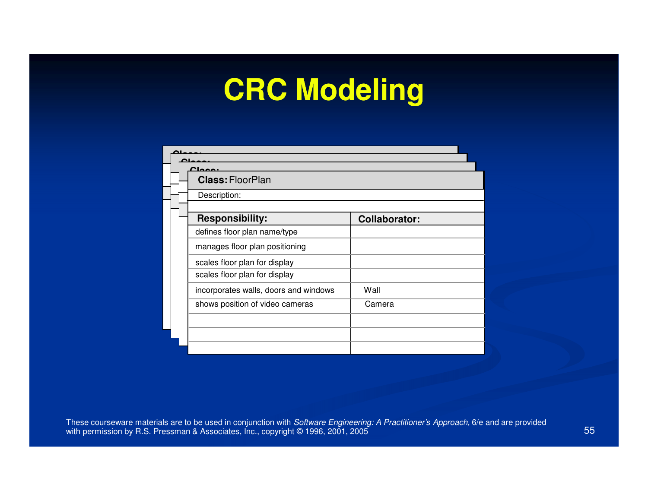# **CRC Modeling**

| <b>Class: FloorPlan</b>               |                      |
|---------------------------------------|----------------------|
| Description:                          |                      |
| <b>Responsibility:</b>                | <b>Collaborator:</b> |
| defines floor plan name/type          |                      |
| manages floor plan positioning        |                      |
| scales floor plan for display         |                      |
| scales floor plan for display         |                      |
| incorporates walls, doors and windows | Wall                 |
| shows position of video cameras       | Camera               |
|                                       |                      |
|                                       |                      |
|                                       |                      |

These courseware materials are to be used in conjunction with *Software Engineering: A Practitioner's Approach,* 6/e and are provided with permission by R.S. Pressman & Associates, Inc., copyright © 1996, 2001, 2005  $\sim$  55 Special control of the state of the state of the state of the state of the state of the state of the state of the state of the state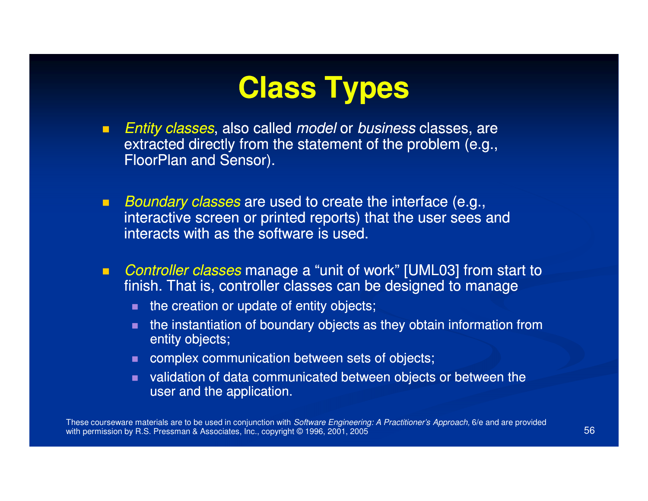# **Class Types**

- $\blacksquare$ ■ Entity classes, also called *model* or business classes, are extracted directly from the statement of the problem (e.g., FloorPlan and Sensor).
- $\blacksquare$ Boundary classes are used to create the interface (e.g., interactive screen or printed reports) that the user sees and interacts with as the software is used.
- $\blacksquare$  Controller classes manage a "unit of work" [UML03] from start to finish. That is, controller classes can be designed to manage
	- $\blacksquare$  the creation or update of entity objects;
	- the instantiation of boundary objects as they obtain information from entity objects;
	- complex communication between sets of objects;
	- validation of data communicated between objects or between the user and the application.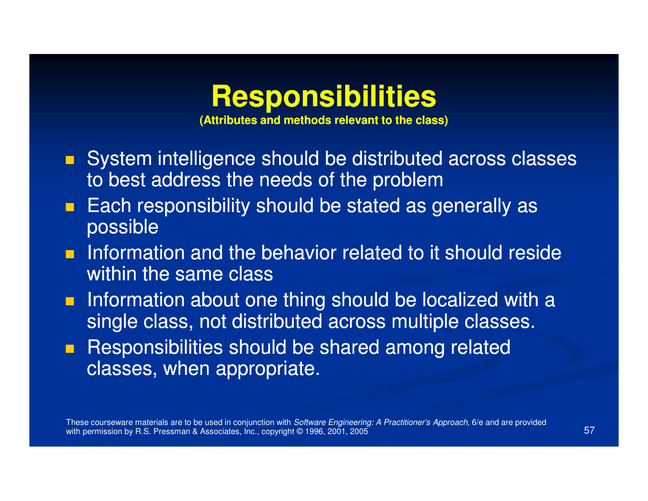#### **Responsibilities**

**(Attributes and methods relevant to the class)**

- System intelligence should be distributed across classes to best address the needs of the problem
- **Each responsibility should be stated as generally as**  $\blacksquare$ possible
- **n** Information and the behavior related to it should reside within the same class
- **n** Information about one thing should be localized with a single class, not distributed across multiple classes.
- **Responsibilities should be shared among related** classes, when appropriate.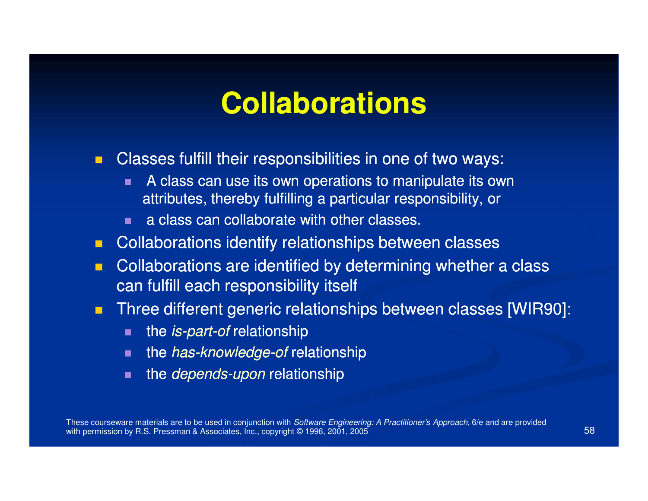# **Collaborations**

 $\blacksquare$ Classes fulfill their responsibilities in one of two ways:

- $\blacksquare$  A class can use its own operations to manipulate its own attributes, thereby fulfilling a particular responsibility, or
- a class can collaborate with other classes.
- **E** Collaborations identify relationships between classes
- $\blacksquare$  Collaborations are identified by determining whether a class can fulfill each responsibility itself
- $\blacksquare$  Three different generic relationships between classes [WIR90]:
	- п the is-part-of relationship
	- $\blacksquare$  $\blacksquare$  the *has-knowledge-of* relationship
	- $\blacksquare$  $\blacksquare$  the *depends-upon* relationship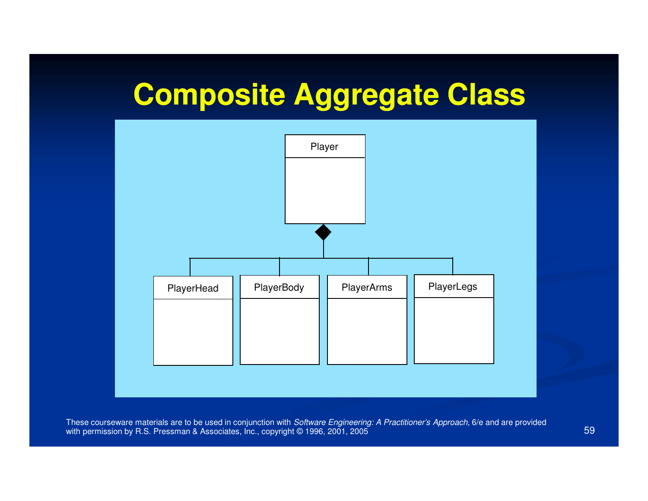# **Composite Aggregate Class**

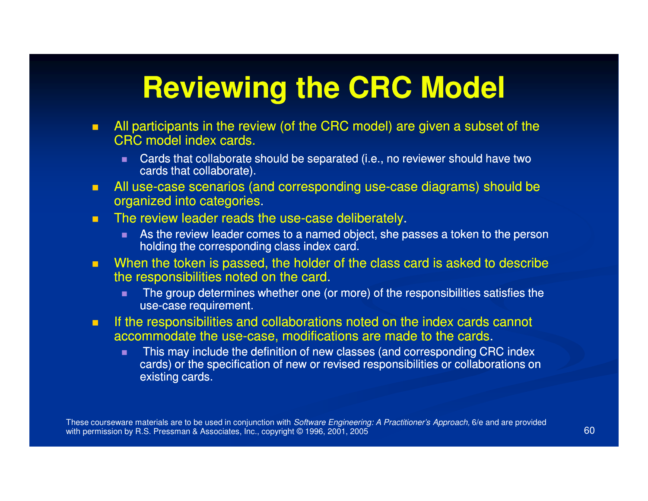# **Reviewing the CRC Model**

- $\blacksquare$  All participants in the review (of the CRC model) are given a subset of the CRC model index cards.
	- $\blacksquare$  Cards that collaborate should be separated (i.e., no reviewer should have two cards that collaborate).
- **Ta** ■ All use-case scenarios (and corresponding use-case diagrams) should be arganized into categories organized into categories.
- $\blacksquare$  $\blacksquare$  The review leader reads the use-case deliberately.
	- п. As the review leader comes to a named object, she passes a token to the person holding the corresponding class index card.
- $\blacksquare$ When the token is passed, the holder of the class card is asked to describe the responsibilities noted on the card.
	- ×. The group determines whether one (or more) of the responsibilities satisfies the use-case requirement.
- **The Co**  If the responsibilities and collaborations noted on the index cards cannot accommodate the use-case, modifications are made to the cards.
	- п This may include the definition of new classes (and corresponding CRC index cards) or the specification of new or revised responsibilities or collaborations on existing cards.

These courseware materials are to be used in conjunction with *Software Engineering: A Practitioner's Approach,* 6/e and are provided with permission by R.S. Pressman & Associates, Inc., copyright © 1996, 2001, 20055 60 and 50 and 50 and 50 and 50 and 50 and 50 and 50 and 50 and 50 and 50 and 50 and 50 and 50 and 50 and 50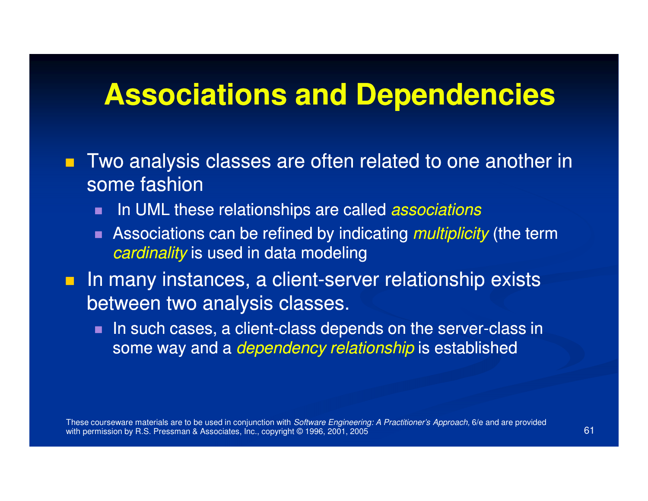#### **Associations and Dependencies**

- $\blacksquare$  Two analysis classes are often related to one another in some fashion
	- **IF In UML these relationships are called** *associations* п
	- п Associations can be refined by indicating *multiplicity* (the term *cardinality* is used in data modeling
- $\blacksquare$ In many instances, a client-server relationship exists between two analysis classes.
	- п.  $\blacksquare$  In such cases, a client-class depends on the server-class in some way and a *dependency relationship* is established

These courseware materials are to be used in conjunction with *Software Engineering: A Practitioner's Approach,* 6/e and are provided with permission by R.S. Pressman & Associates, Inc., copyright © 1996, 2001, 20055 61 61 62 62 63 64 64 65 65 66 66 66 66 66 66 66 67 68 67 68 67 68 67 68 68 68 69 68 68 68 68 68 6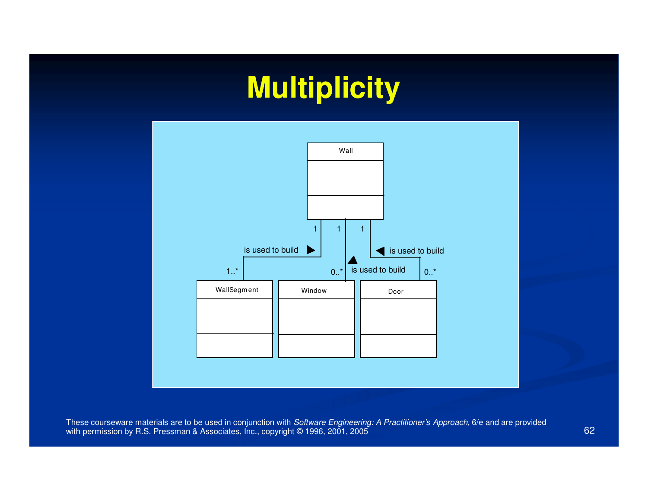# **Multiplicity**

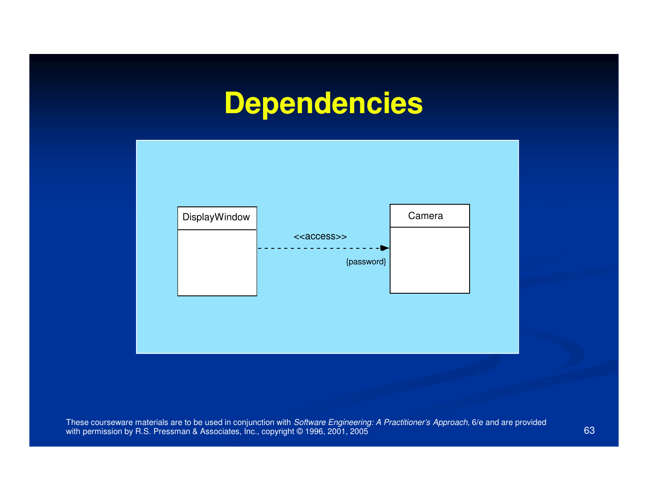# **Dependencies**

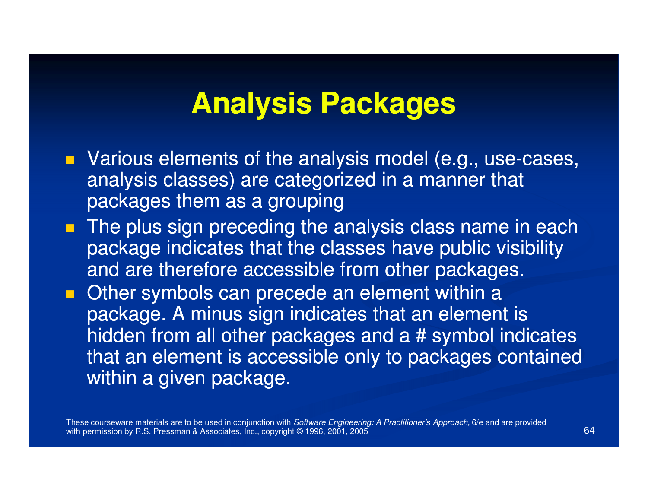#### **Analysis Packages**

- $\blacksquare$  Various elements of the analysis model (e.g., use-cases, analysis classes) are categorized in a manner that packages them as a grouping
- The plus sign preceding the analysis class name in each package indicates that the classes have public visibility and are therefore accessible from other packages.
- **Other symbols can precede an element within a** package. A minus sign indicates that an element is hidden from all other packages and a # symbol indicates that an element is accessible only to packages contained within a given package.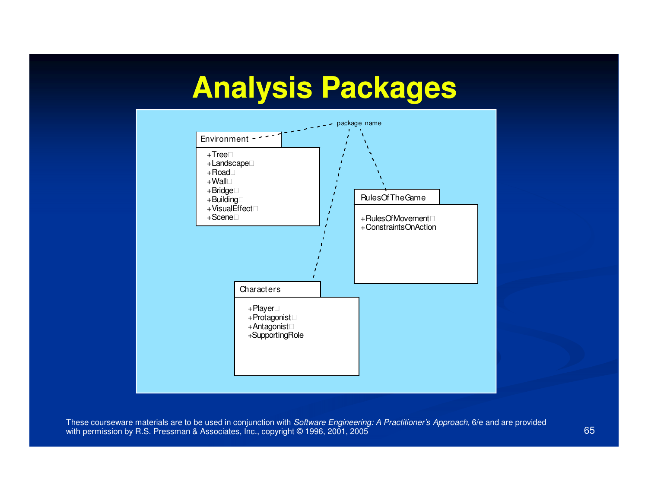# **Analysis Packages**



These courseware materials are to be used in conjunction with *Software Engineering: A Practitioner's Approach,* 6/e and are provided with permission by R.S. Pressman & Associates, Inc., copyright © 1996, 2001, 2005 5 65 and 2014 12:00 to 10:00 percent of the 10:00 percent of the 10:00 percent of the 10:00 percent of the 10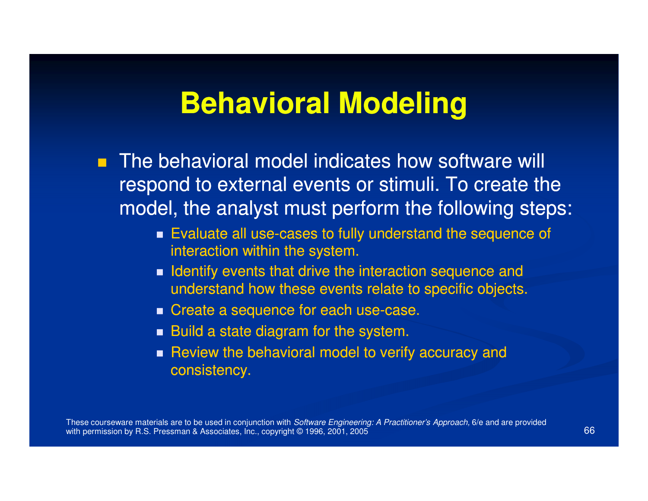### **Behavioral Modeling**

- The behavioral model indicates how software will respond to external events or stimuli. To create the model, the analyst must perform the following steps:
	- $\blacksquare$  Evaluate all use-cases to fully understand the sequence of interaction within the system.
	- $\blacksquare$  Identify events that drive the interaction sequence and understand how these events relate to specific objects.
	- $\blacksquare$  Create a sequence for each use-case.
	- $\blacksquare$  Build a state diagram for the system.
	- Review the behavioral model to verify accuracy and consistency.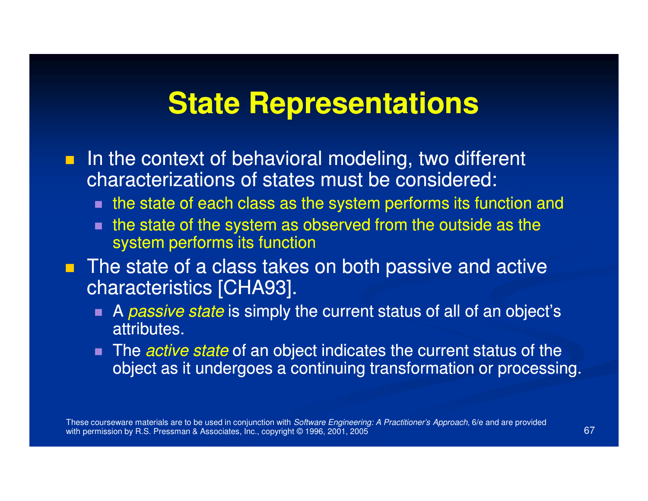#### **State Representations**

- **IF In the context of behavioral modeling, two different** characterizations of states must be considered:
	- $\textcolor{red}{\blacksquare}$  the state of each class as the system performs its function and
	- the state of the system as observed from the outside as the system performs its function
- **The state of a class takes on both passive and active** characteristics [CHA93].
	- A *passive state* is simply the current status of all of an object's attributes.
	- The *active state* of an object indicates the current status of the object as it undergoes a continuing transformation or processing.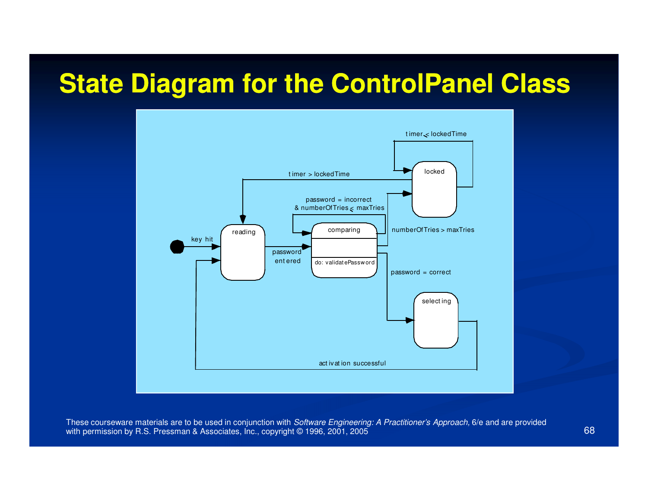#### **State Diagram for the ControlPanel Class**



These courseware materials are to be used in conjunction with *Software Engineering: A Practitioner's Approach,* 6/e and are provided with permission by R.S. Pressman & Associates, Inc., copyright © 1996, 2001, 2005 5 (1988) - 1990 - 1991 - 1992 - 1993 - 1994 - 1995 - 1996 - 1997 - 1998 - 1999 - 1999 - 1999 - 1999 - 1999 - 1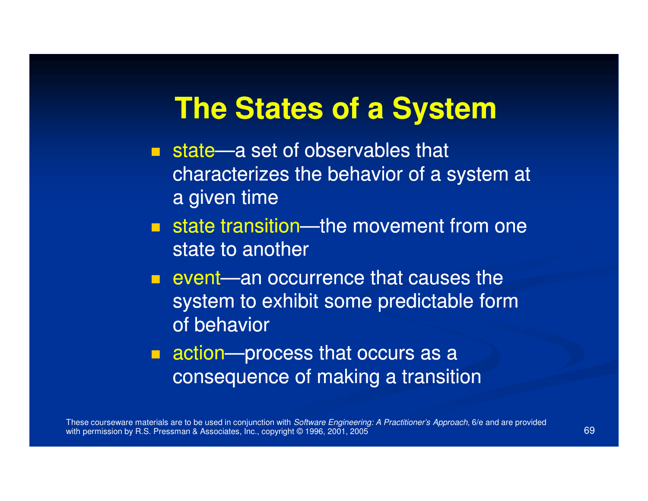#### **The States of a System**

- $\blacksquare$  state—a set of observables that characterizes the behavior of a system at a given time
- $\blacksquare$  state transition—the movement from one state to another
- **Exercise 2 and occurrence that causes the** system to exhibit some predictable form of behavior
- $\blacksquare$  action—process that occurs as a consequence of making a transition

These courseware materials are to be used in conjunction with *Software Engineering: A Practitioner's Approach,* 6/e and are provided with permission by R.S. Pressman & Associates, Inc., copyright © 1996, 2001, 20055 (1992) - 1994 (1994) - 1995 (1996) - 1995 (1996) - 1996 (1996) - 1996 (1997) - 1996 (1997) - 1997 (1997) - 1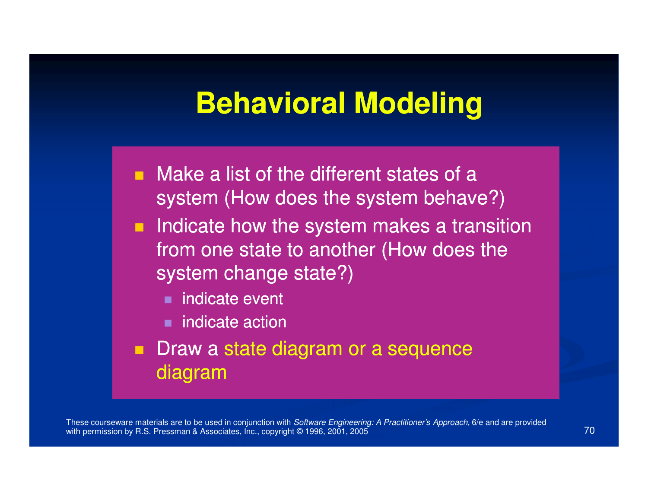#### **Behavioral Modeling**

- $\blacksquare$  Make a list of the different states of a system (How does the system behave?)
- $\blacksquare$  Indicate how the system makes a transition from one state to another (How does the system change state?)
	- $\blacksquare$ indicate event
	- indicate action
- $\blacksquare$  Draw a state diagram or a sequence diagram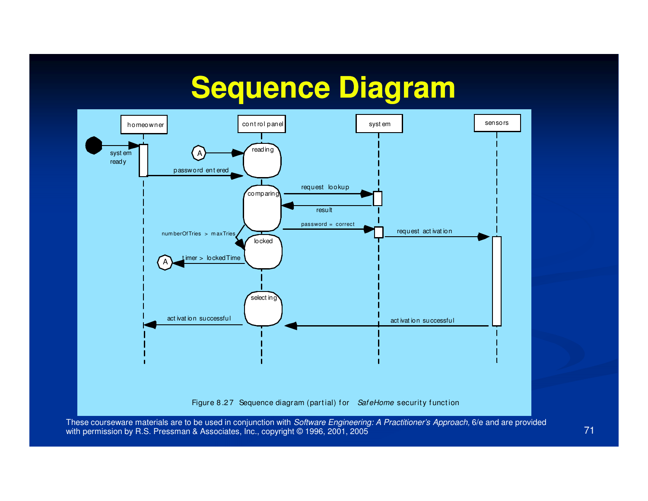# **Sequence Diagram**

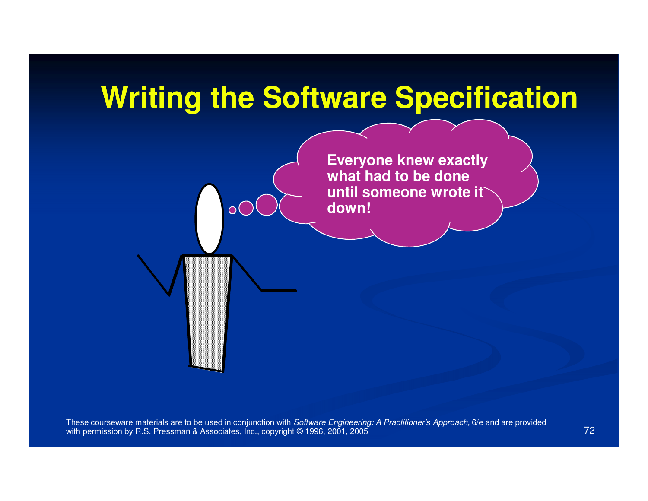# **Writing the Software Specification**

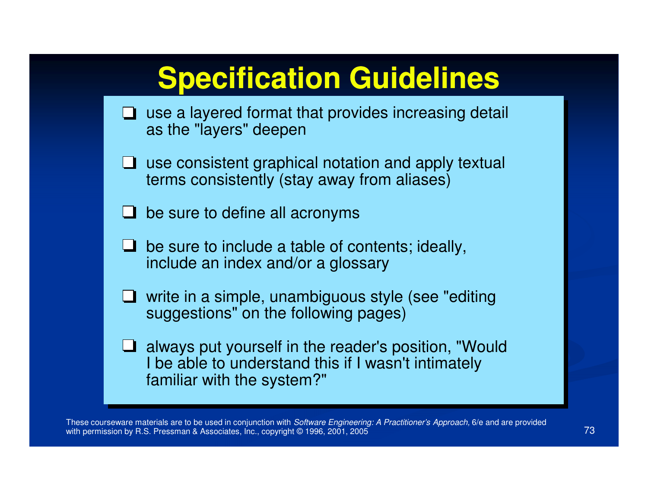| <b>Specification Guidelines</b>                                                                                                                  |
|--------------------------------------------------------------------------------------------------------------------------------------------------|
| $\Box$ use a layered format that provides increasing detail<br>as the "layers" deepen                                                            |
| $\Box$ use consistent graphical notation and apply textual<br>terms consistently (stay away from aliases)                                        |
| $\Box$ be sure to define all acronyms                                                                                                            |
| be sure to include a table of contents; ideally,<br>include an index and/or a glossary                                                           |
| $\Box$ write in a simple, unambiguous style (see "editing")<br>suggestions" on the following pages)                                              |
| $\Box$ always put yourself in the reader's position, "Would<br>I be able to understand this if I wasn't intimately<br>familiar with the system?" |

These courseware materials are to be used in conjunction with *Software Engineering: A Practitioner's Approach,* 6/e and are provided with permission by R.S. Pressman & Associates, Inc., copyright © 1996, 2001, 2005  $\sim$  73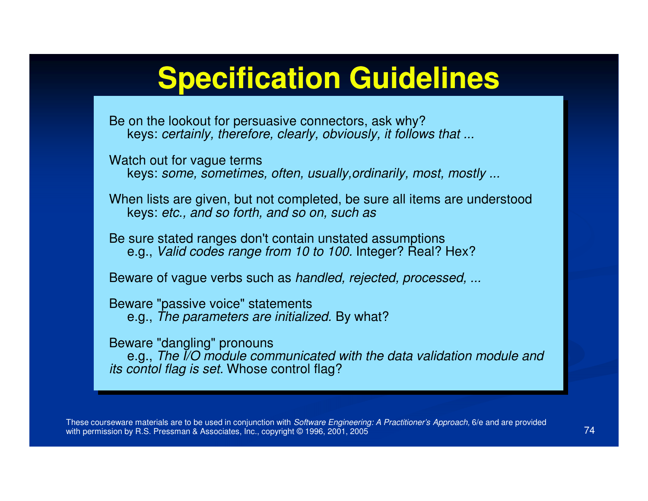## **Specification Guidelines**

Be on the lookout for persuasive connectors, ask why? keys: certainly, therefore, clearly, obviously, it follows that ...

Watch out for vague terms keys: some, sometimes, often, usually,ordinarily, most, mostly ...

When lists are given, but not completed, be sure all items are understood keys: etc., and so forth, and so on, such as

Be sure stated ranges don't contain unstated assumptions e.g., *Valid codes range from 10 to 100.* Integer? Real? Hex?

Beware of vague verbs such as handled, rejected, processed, ...

Beware "passive voice" statements e.g., The parameters are initialized. By what?

Beware "dangling" pronouns

 e.g., The I/O module communicated with the data validation module and its contol flag is set. Whose control flag?

These courseware materials are to be used in conjunction with *Software Engineering: A Practitioner's Approach,* 6/e and are provided with permission by R.S. Pressman & Associates, Inc., copyright © 1996, 2001, 2005  $5$  74